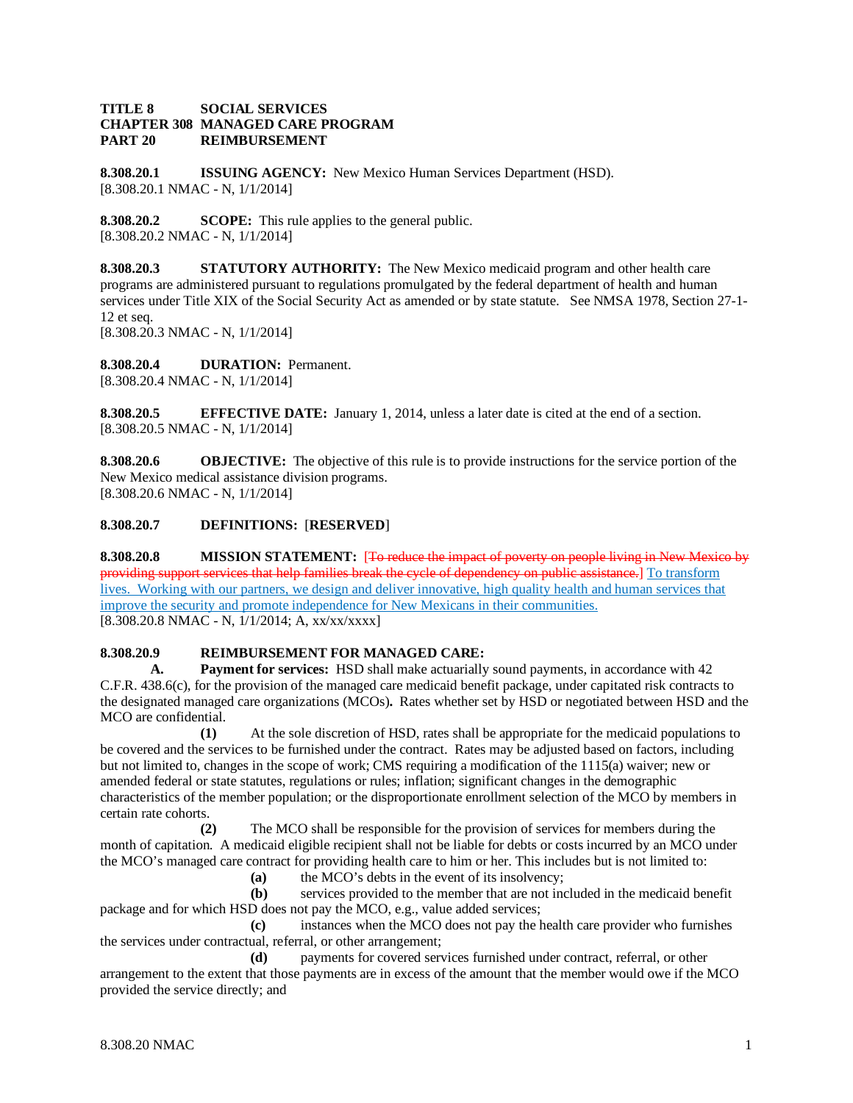## **TITLE 8 SOCIAL SERVICES CHAPTER 308 MANAGED CARE PROGRAM PART 20 REIMBURSEMENT**

**8.308.20.1 ISSUING AGENCY:** New Mexico Human Services Department (HSD). [8.308.20.1 NMAC - N, 1/1/2014]

**8.308.20.2 SCOPE:** This rule applies to the general public. [8.308.20.2 NMAC - N, 1/1/2014]

**8.308.20.3 STATUTORY AUTHORITY:** The New Mexico medicaid program and other health care programs are administered pursuant to regulations promulgated by the federal department of health and human services under Title XIX of the Social Security Act as amended or by state statute. See NMSA 1978, Section 27-1- 12 et seq. [8.308.20.3 NMAC - N, 1/1/2014]

**8.308.20.4 DURATION:** Permanent. [8.308.20.4 NMAC - N, 1/1/2014]

**8.308.20.5 EFFECTIVE DATE:** January 1, 2014, unless a later date is cited at the end of a section. [8.308.20.5 NMAC - N, 1/1/2014]

**8.308.20.6 OBJECTIVE:** The objective of this rule is to provide instructions for the service portion of the New Mexico medical assistance division programs. [8.308.20.6 NMAC - N, 1/1/2014]

## **8.308.20.7 DEFINITIONS:** [**RESERVED**]

**8.308.20.8 MISSION STATEMENT:** [To reduce the impact of poverty on people living in New Mexico by providing support services that help families break the cycle of dependency on public assistance.] To transform lives. Working with our partners, we design and deliver innovative, high quality health and human services that improve the security and promote independence for New Mexicans in their communities. [8.308.20.8 NMAC - N, 1/1/2014; A, xx/xx/xxxx]

## **8.308.20.9 REIMBURSEMENT FOR MANAGED CARE:**

**A. Payment for services:** HSD shall make actuarially sound payments, in accordance with 42 C.F.R. 438.6(c), for the provision of the managed care medicaid benefit package, under capitated risk contracts to the designated managed care organizations (MCOs)**.** Rates whether set by HSD or negotiated between HSD and the MCO are confidential.

**(1)** At the sole discretion of HSD, rates shall be appropriate for the medicaid populations to be covered and the services to be furnished under the contract. Rates may be adjusted based on factors, including but not limited to, changes in the scope of work; CMS requiring a modification of the 1115(a) waiver; new or amended federal or state statutes, regulations or rules; inflation; significant changes in the demographic characteristics of the member population; or the disproportionate enrollment selection of the MCO by members in certain rate cohorts.

**(2)** The MCO shall be responsible for the provision of services for members during the month of capitation. A medicaid eligible recipient shall not be liable for debts or costs incurred by an MCO under the MCO's managed care contract for providing health care to him or her. This includes but is not limited to:

**(a)** the MCO's debts in the event of its insolvency;

**(b)** services provided to the member that are not included in the medicaid benefit package and for which HSD does not pay the MCO, e.g., value added services;

**(c)** instances when the MCO does not pay the health care provider who furnishes the services under contractual, referral, or other arrangement;

**(d)** payments for covered services furnished under contract, referral, or other arrangement to the extent that those payments are in excess of the amount that the member would owe if the MCO provided the service directly; and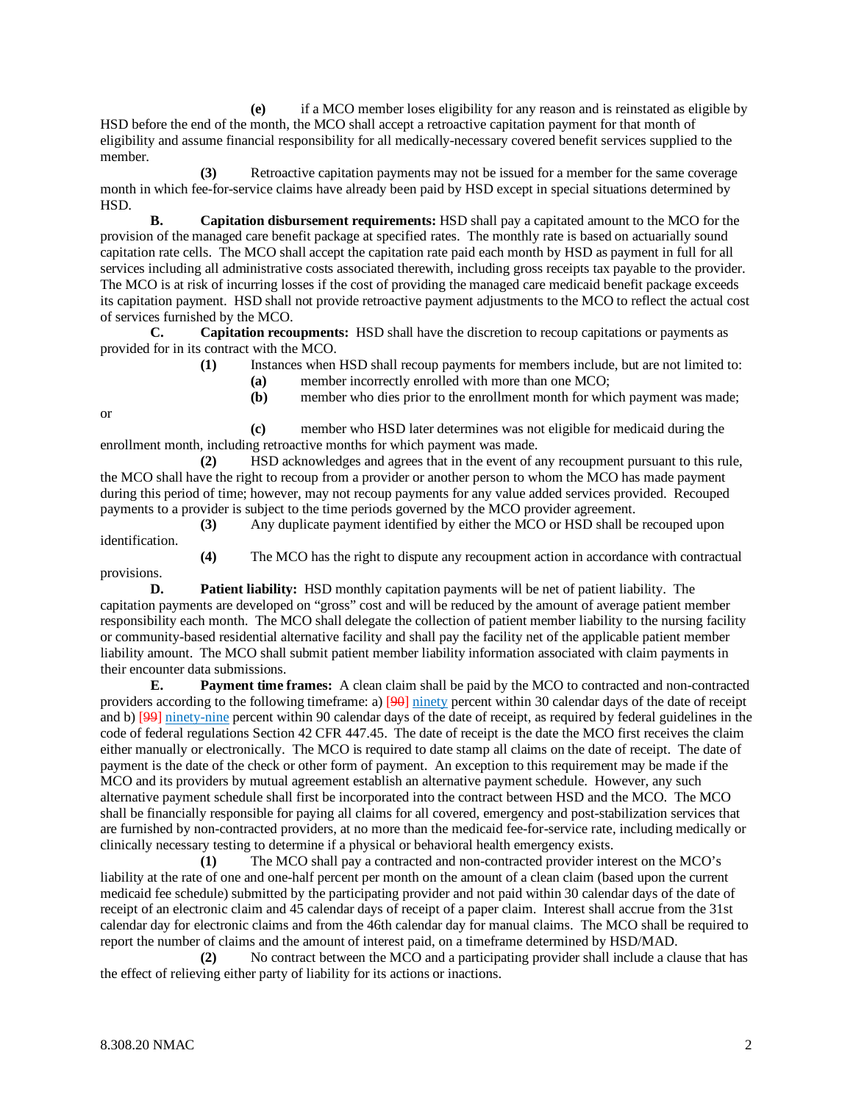**(e)** if a MCO member loses eligibility for any reason and is reinstated as eligible by HSD before the end of the month, the MCO shall accept a retroactive capitation payment for that month of eligibility and assume financial responsibility for all medically-necessary covered benefit services supplied to the member.

**(3)** Retroactive capitation payments may not be issued for a member for the same coverage month in which fee-for-service claims have already been paid by HSD except in special situations determined by HSD.

**B. Capitation disbursement requirements:** HSD shall pay a capitated amount to the MCO for the provision of the managed care benefit package at specified rates. The monthly rate is based on actuarially sound capitation rate cells. The MCO shall accept the capitation rate paid each month by HSD as payment in full for all services including all administrative costs associated therewith, including gross receipts tax payable to the provider. The MCO is at risk of incurring losses if the cost of providing the managed care medicaid benefit package exceeds its capitation payment. HSD shall not provide retroactive payment adjustments to the MCO to reflect the actual cost of services furnished by the MCO.

**C. Capitation recoupments:** HSD shall have the discretion to recoup capitations or payments as provided for in its contract with the MCO.

> **(1)** Instances when HSD shall recoup payments for members include, but are not limited to: **(a)** member incorrectly enrolled with more than one MCO;

**(b)** member who dies prior to the enrollment month for which payment was made;

**(c)** member who HSD later determines was not eligible for medicaid during the enrollment month, including retroactive months for which payment was made.

**(2)** HSD acknowledges and agrees that in the event of any recoupment pursuant to this rule, the MCO shall have the right to recoup from a provider or another person to whom the MCO has made payment during this period of time; however, may not recoup payments for any value added services provided. Recouped payments to a provider is subject to the time periods governed by the MCO provider agreement.

**(3)** Any duplicate payment identified by either the MCO or HSD shall be recouped upon identification.

**(4)** The MCO has the right to dispute any recoupment action in accordance with contractual provisions.

**D. Patient liability:** HSD monthly capitation payments will be net of patient liability. The capitation payments are developed on "gross" cost and will be reduced by the amount of average patient member responsibility each month. The MCO shall delegate the collection of patient member liability to the nursing facility or community-based residential alternative facility and shall pay the facility net of the applicable patient member liability amount. The MCO shall submit patient member liability information associated with claim payments in their encounter data submissions.

**E. Payment time frames:** A clean claim shall be paid by the MCO to contracted and non-contracted providers according to the following timeframe: a) [90] ninety percent within 30 calendar days of the date of receipt and b) [99] ninety-nine percent within 90 calendar days of the date of receipt, as required by federal guidelines in the code of federal regulations Section 42 CFR 447.45. The date of receipt is the date the MCO first receives the claim either manually or electronically. The MCO is required to date stamp all claims on the date of receipt. The date of payment is the date of the check or other form of payment. An exception to this requirement may be made if the MCO and its providers by mutual agreement establish an alternative payment schedule. However, any such alternative payment schedule shall first be incorporated into the contract between HSD and the MCO. The MCO shall be financially responsible for paying all claims for all covered, emergency and post-stabilization services that are furnished by non-contracted providers, at no more than the medicaid fee-for-service rate, including medically or clinically necessary testing to determine if a physical or behavioral health emergency exists.

**(1)** The MCO shall pay a contracted and non-contracted provider interest on the MCO's liability at the rate of one and one-half percent per month on the amount of a clean claim (based upon the current medicaid fee schedule) submitted by the participating provider and not paid within 30 calendar days of the date of receipt of an electronic claim and 45 calendar days of receipt of a paper claim. Interest shall accrue from the 31st calendar day for electronic claims and from the 46th calendar day for manual claims. The MCO shall be required to report the number of claims and the amount of interest paid, on a timeframe determined by HSD/MAD.

**(2)** No contract between the MCO and a participating provider shall include a clause that has the effect of relieving either party of liability for its actions or inactions.

or